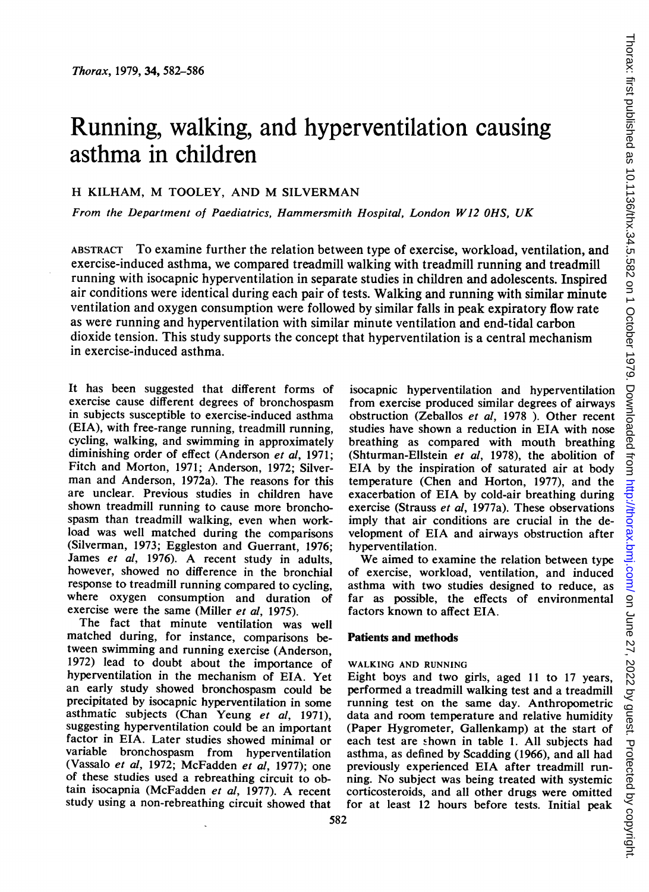# Running, walking, and hyperventilation causing asthma in children

# H KILHAM, M TOOLEY, AND M SILVERMAN

From the Department of Paediatrics, Hammersmith Hospital, London W12 OHS, UK

ABSTRACT To examine further the relation between type of exercise, workload, ventilation, and exercise-induced asthma, we compared treadmill walking with treadmill running and treadmill running with isocapnic hyperventilation in separate studies in children and adolescents. Inspired air conditions were identical during each pair of tests. Walking and running with similar minute ventilation and oxygen consumption were followed by similar falls in peak expiratory flow rate as were running and hyperventilation with similar minute ventilation and end-tidal carbon dioxide tension. This study supports the concept that hyperventilation is a central mechanism in exercise-induced asthma.

It has been suggested that different forms of exercise cause different degrees of bronchospasm in subjects susceptible to exercise-induced asthma (EIA), with free-range running, treadmill running, cycling, walking, and swimming in approximately diminishing order of effect (Anderson et al, 1971; Fitch and Morton, 1971; Anderson, 1972; Silverman and Anderson, 1972a). The reasons for this are unclear. Previous studies in children have shown treadmill running to cause more bronchospasm than treadmill walking, even when workload was well matched during the comparisons (Silverman, 1973; Eggleston and Guerrant, 1976; James et al, 1976). A recent study in adults, however, showed no difference in the bronchial response to treadmill running compared to cycling, where oxygen consumption and duration of exercise were the same (Miller et al, 1975).

The fact that minute ventilation was well matched during, for instance, comparisons between swimming and running exercise (Anderson, 1972) lead to doubt about the importance of hyperventilation in the mechanism of EIA. Yet an early study showed bronchospasm could be precipitated by isocapnic hyperventilation in some asthmatic subjects (Chan Yeung et al, 1971), suggesting hyperventilation could be an important factor in EIA. Later studies showed minimal or<br>variable bronchospasm from hyperventilation from hyperventilation (Vassalo et al, 1972; McFadden et al, 1977); one of these studies used a rebreathing circuit to obtain isocapnia (McFadden et al, 1977). A recent study using a non-rebreathing circuit showed that

isocapnic hyperventilation and hyperventilation from exercise produced similar degrees of airways obstruction (Zeballos et al, 1978 ). Other recent studies have shown a reduction in EIA with nose breathing as compared with mouth breathing (Shturman-Ellstein et al, 1978), the abolition of EIA by the inspiration of saturated air at body temperature (Chen and Horton, 1977), and the exacerbation of EIA by cold-air breathing during exercise (Strauss et al, 1977a). These observations imply that air conditions are crucial in the development of EIA and airways obstruction after hyperventilation.

We aimed to examine the relation between type of exercise, workload, ventilation, and induced asthma with two studies designed to reduce, as far as possible, the effects of environmental factors known to affect EIA.

#### Patients and methods

#### WALKING AND RUNNING

Eight boys and two girls, aged <sup>11</sup> to 17 years, performed a treadmill walking test and a treadmill running test on the same day. Anthropometric data and room temperature and relative humidity (Paper Hygrometer, Gallenkamp) at the start of each test are shown in table 1. All subjects had asthma, as defined by Scadding (1966), and all had previously experienced EIA after treadmill running. No subject was being treated with systemic corticosteroids, and all other drugs were omitted for at least 12 hours before tests. Initial peak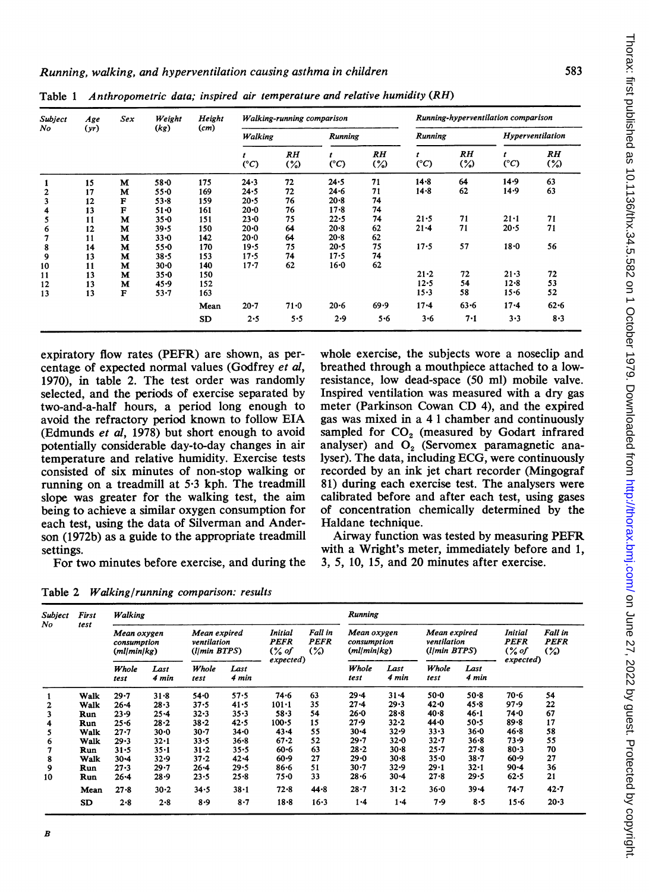| Subject<br>No | Age<br>(yr) | <b>Sex</b>   | Weight<br>(kg) | Height<br>(cm) | Walking-running comparison |              |                |                          | Running-hyperventilation comparison |                          |                  |                     |  |
|---------------|-------------|--------------|----------------|----------------|----------------------------|--------------|----------------|--------------------------|-------------------------------------|--------------------------|------------------|---------------------|--|
|               |             |              |                |                | Walking                    |              | <b>Running</b> |                          | Running                             |                          | Hyperventilation |                     |  |
|               |             |              |                |                | $(^{\circ}C)$              | RH<br>$(\%)$ | (°C)           | $R$ $H$<br>$\frac{9}{2}$ | $(^{\circ}C)$                       | $R$ $H$<br>$\frac{1}{2}$ | $(^{\circ}C)$    | RH<br>$\frac{1}{2}$ |  |
|               | 15          | M            | $58 - 0$       | 175            | 24.3                       | 72           | $24 - 5$       | 71                       | $14 - 8$                            | 64                       | $14 - 9$         | 63                  |  |
|               | 17          | M            | $55 - 0$       | 169            | 24.5                       | 72           | $24 - 6$       | 71                       | $14 - 8$                            | 62                       | 14.9             | 63                  |  |
| 3             | 12          | F            | $53 - 8$       | 159            | $20 - 5$                   | 76           | $20 - 8$       | 74                       |                                     |                          |                  |                     |  |
|               | 13          | F            | $51 - 0$       | 161            | $20 - 0$                   | 76           | $17 - 8$       | 74                       |                                     |                          |                  |                     |  |
|               | 11          | M            | $35 - 0$       | 151            | $23 - 0$                   | 75           | $22 - 5$       | 74                       | 21.5                                | 71                       | $21 - 1$         | 71                  |  |
| 6             | 12          | M            | 39.5           | 150            | $20 - 0$                   | 64           | $20 - 8$       | 62                       | $21 - 4$                            | 71                       | 20.5             | 71                  |  |
|               | 11          | М            | $33 - 0$       | 142            | $20 - 0$                   | 64           | $20 - 8$       | 62                       |                                     |                          |                  |                     |  |
| 8             | 14          | M            | $55 - 0$       | 170            | 19.5                       | 75           | $20 - 5$       | 75                       | $17 - 5$                            | 57                       | $18 - 0$         | 56                  |  |
| 9             | 13          | M            | $38 - 5$       | 153            | $17 - 5$                   | 74           | $17 - 5$       | 74                       |                                     |                          |                  |                     |  |
| 10            | 11          | M            | $30 - 0$       | 140            | $17 - 7$                   | 62           | 16.0           | 62                       |                                     |                          |                  |                     |  |
| 11            | 13          | M            | $35 - 0$       | 150            |                            |              |                |                          | $21 - 2$                            | 72                       | $21 - 3$         | 72                  |  |
| 12            | 13          | м            | 45.9           | 152            |                            |              |                |                          | $12 - 5$                            | 54                       | $12 - 8$         | 53                  |  |
| 13            | 13          | $\mathbf{F}$ | $53 - 7$       | 163            |                            |              |                |                          | $15 - 3$                            | 58                       | $15 - 6$         | 52                  |  |
|               |             |              |                | Mean           | $20 - 7$                   | $71 - 0$     | $20 - 6$       | 69.9                     | $17 - 4$                            | $63 - 6$                 | $17 - 4$         | $62 - 6$            |  |
|               |             |              |                | <b>SD</b>      | 2.5                        | 5.5          | 2.9            | 5.6                      | $3 - 6$                             | $7-1$                    | 3.3              | $8 - 3$             |  |

Table <sup>1</sup> Anthropometric data; inspired air temperature and relative humidity (RH)

expiratory flow rates (PEFR) are shown, as per-<br>centage of expected normal values (Godfrey *et al*, breathed through a mouthpiece attached to a lowcentage of expected normal values (Godfrey et al, 1970), in table 2. The test order was randomly resistance, low dead-space (50 ml) mobile valve.<br>selected, and the periods of exercise separated by Inspired ventilation was measured with a dry gas selected, and the periods of exercise separated by Inspired ventilation was measured with a dry gas two-and-a-half hours, a period long enough to meter (Parkinson Cowan CD 4), and the expired two-and-a-half hours, a period long enough to avoid the refractory period known to follow EIA avoid the refractory period known to follow EIA gas was mixed in a 4 1 chamber and continuously (Edmunds *et al*, 1978) but short enough to avoid sampled for  $CO<sub>2</sub>$  (measured by Godart infrared potentially considerable day-to-day changes in air analyser) and  $O_2$  (Servomex paramagnetic ana-<br>temperature and relative humidity. Exercise tests lyser). The data, including ECG, were continuously temperature and relative humidity. Exercise tests consisted of six minutes of non-stop walking or running on a treadmill at  $5.3$  kph. The treadmill  $81$ ) during each exercise test. The analysers were slope was greater for the walking test, the aim calibrated before and after each test, using gases slope was greater for the walking test, the aim calibrated before and after each test, using gases being to achieve a similar oxygen consumption for of concentration chemically determined by the being to achieve a similar oxygen consumption for of concentration chemical test, using the data of Silverman and Ander- Haldane technique. each test, using the data of Silverman and Ander-<br>son (1972b) as a guide to the appropriate treadmill Airway function was tested by measuring PEFR son (1972b) as a guide to the appropriate treadmill settings.<br>For two minutes before exercise, and during the 3, 5, 10, 15, and 20 minutes after exercise.

For two minutes before exercise, and during the

Table 2 Walking/running comparison: results

Subject First Walking Running Running No test Mean oxygen Mean expired Initial Fall in Mean oxygen Mean expired Initial Fall in consumption ventilation PEFR PEFR consumption ventilation PEFR PEFR  $(m||min|kg)$  ( $\frac{1}{m}$  min BTPS) (% of (%) (ml|min|kg) (I|min BTPS) (% of (%)<br>expected)  $\frac{1}{m}$  expected)  $\frac{1}{m}$  expected)  $Whole$   $Last$   $Whole$   $Last$   $expected)$ Whole Last Whole Last Whole Last Whole Last test 4 min test 4 min test 4 min test 4 min <sup>1</sup> Walk 29-7 31-8 54-0 57-5 74-6 63 29-4 31-4 50-0 50-8 70-6 54 2 Walk 26-4 28-3 37-5 41-5 101-1 35 27-4 29-3 42-0 45-8 97-9 22 <sup>3</sup> Run 23-9 25-4 32-3 35-3 58-3 54 26-0 28-8 40-8 46-1 74-0 67 4 Run 25-6 28-2 38-2 42-5 100-5 <sup>15</sup> 27-9 32-2 44-0 50-5 89-8 <sup>17</sup> <sup>5</sup> Walk 27-7 30-0 30-7 34-0 43-4 55 30-4 32-9 33-3 36-0 46-8 58 <sup>6</sup> Walk 29-3 32-1 33-5 36-8 67-2 <sup>52</sup> 29-7 32-0 32-7 36-8 73-9 <sup>55</sup> 7 Run 31-5 35-1 31-2 35-5 60-6 63 28-2 30-8 25-7 27-8 80-3 70 8 Walk 30-4 32-9 37-2 42-4 60-9 27 29-0 30-8 35-0 38-7 60-9 27 <sup>9</sup> Run 27-3 29-7 26-4 29-5 86-6 <sup>51</sup> 30-7 32-9 29-1 32-1 90-4 <sup>36</sup> <sup>10</sup> Run 26-4 28-9 23-5 25-8 75-0 <sup>33</sup> 28-6 30-4 27-8 29-5 62-5 <sup>21</sup> Mean 27-8 30-2 34-5 38-1 72-8 44-8 28-7 31-2 36-0 39-4 74-7 42-7 SD 2-8 2-8 8-9 8-7 18-8 16-3 1-4 1-4 7-9 8-5 15-6 20-3

sampled for  $CO<sub>2</sub>$  (measured by Godart infrared analyser) and  $O<sub>2</sub>$  (Servomex paramagnetic ana-

recorded by an ink jet chart recorder (Mingograf 81) during each exercise test. The analysers were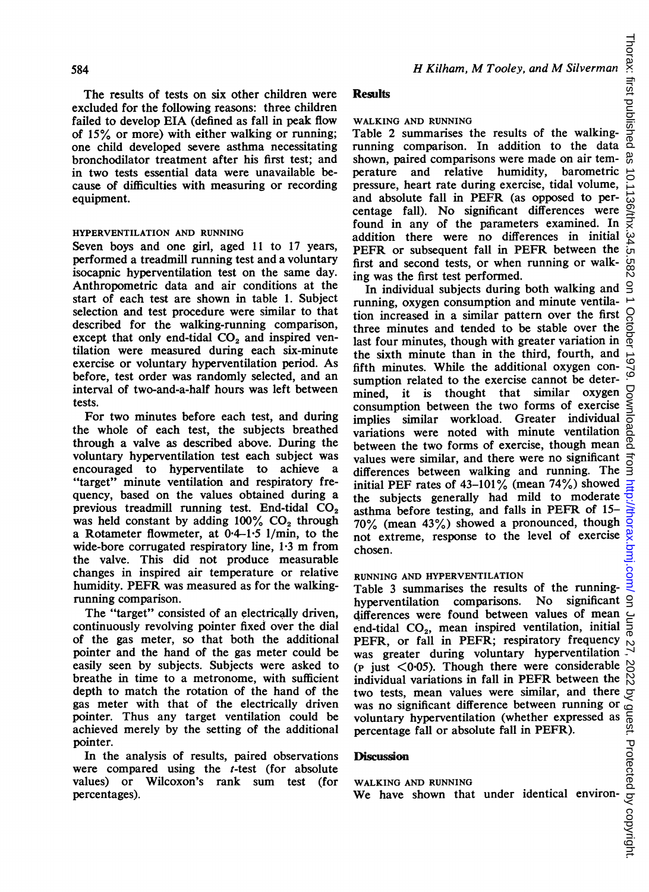The results of tests on six other children were excluded for the following reasons: three children failed to develop EIA (defined as fall in peak flow of 15% or more) with either walking or running; one child developed severe asthma necessitating bronchodilator treatment after his first test; and in two tests essential data were unavailable because of difficulties with measuring or recording equipment.

## HYPERVENTILATION AND RUNNING

Seven boys and one girl, aged 11 to 17 years, performed a treadmill running test and a voluntary isocapnic hyperventilation test on the same day. Anthropometric data and air conditions at the start of each test are shown in table 1. Subject selection and test procedure were similar to that described for the walking-running comparison, except that only end-tidal  $CO<sub>2</sub>$  and inspired ventilation were measured during each six-minute exercise or voluntary hyperventilation period. As before, test order was randomly selected, and an interval of two-and-a-half hours was left between tests.

For two minutes before each test, and during the whole of each test, the subjects breathed through a valve as described above. During the voluntary hyperventilation test each subject was encouraged to hyperventilate to achieve a "target" minute ventilation and respiratory frequency, based on the values obtained during a previous treadmill running test. End-tidal  $CO<sub>2</sub>$ was held constant by adding  $100\%$  CO<sub>2</sub> through a Rotameter flowmeter, at  $0.4-1.5$  1/min, to the wide-bore corrugated respiratory line, 1-3 m from the valve. This did not produce measurable changes in inspired air temperature or relative humidity. PEFR was measured as for the walkingrunning comparison.

The "target" consisted of an electrically driven, continuously revolving pointer fixed over the dial of the gas meter, so that both the additional pointer and the hand of the gas meter could be easily seen by subjects. Subjects were asked to breathe in time to a metronome, with sufficient depth to match the rotation of the hand of the gas meter with that of the electrically driven pointer. Thus any target ventilation could be achieved merely by the setting of the additional pointer.

In the analysis of results, paired observations were compared using the *t*-test (for absolute values) or Wilcoxon's rank sum test (for percentages).

# Results

### WALKING AND RUNNING

Table 2 summarises the results of the walkingrunning comparison. In addition to the data shown, paired comparisons were made on air temperature and relative humidity, barometric pressure, heart rate during exercise, tidal volume, and absolute fall in PEFR (as opposed to percentage fall). No significant differences were found in any of the parameters examined. In addition there were no differences in initial PEFR or subsequent fall in PEFR between the first and second tests, or when running or walking was the first test performed.

In individual subjects during both walking and running, oxygen consumption and minute ventilation increased in a similar pattern over the first three minutes and tended to be stable over the last four minutes, though with greater variation in the sixth minute than in the third, fourth, and fifth minutes. While the additional oxygen consumption related to the exercise cannot be determined, it is thought that similar oxygen consumption between the two forms of exercise Š implies similar workload. Greater individual variations were noted with minute ventilation between the two forms of exercise, though mean  $^{\circ}$ values were similar, and there were no significant differences between walking and running. The initial PEF rates of 43-101% (mean 74%) showed the subjects generally had mild to moderate  $\frac{1}{2}$ asthma before testing, and falls in PEFR of 15- 70% (mean 43%) showed a pronounced, though not extreme, response to the level of exercise chosen.

# RUNNING AND HYPERVENTILATION

Table 3 summarises the results of the runninghyperventilation comparisons. No significant  $\triangleleft$ differences were found between values of mean end-tidal  $CO<sub>2</sub>$ , mean inspired ventilation, initial PEFR, or fall in PEFR; respiratory frequency was greater during voluntary hyperventilation  $\frac{1}{x}$  $(p$  just  $\langle 0.05 \rangle$ . Though there were considerable individual variations in fall in PEFR between the two tests, mean values were similar, and there was no significant difference between running or voluntary hyperventilation (whether expressed as percentage fall or absolute fall in PEFR).

# **Discussion**

# WALKING AND RUNNING

We have shown that under identical environ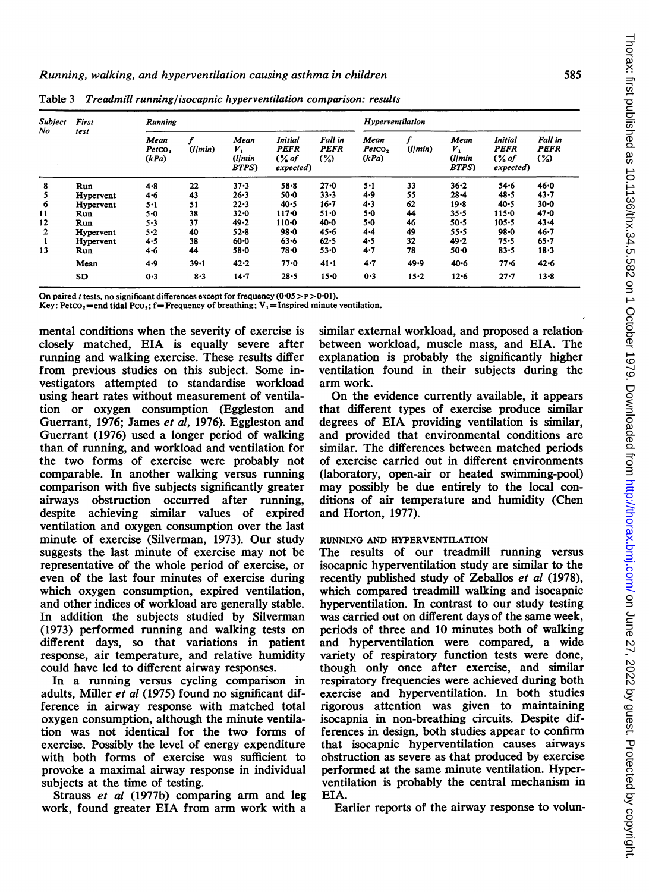| <b>Subject</b> | First<br>test | <b>Running</b>                       |          |                                          |                                                         |                                         | Hyperventilation                    |          |                                       |                                                        |                               |  |
|----------------|---------------|--------------------------------------|----------|------------------------------------------|---------------------------------------------------------|-----------------------------------------|-------------------------------------|----------|---------------------------------------|--------------------------------------------------------|-------------------------------|--|
| No             |               | Mean<br>Petroo <sub>s</sub><br>(kPa) | (l/min)  | Mean<br>ν,<br>( l l m n )<br><b>BTPS</b> | Initial<br><b>PEFR</b><br>$\frac{6}{3}$ of<br>expected) | Fall in<br><b>PEFR</b><br>$\frac{1}{2}$ | Mean<br>Petro <sub>2</sub><br>(kPa) | (l/min)  | Mean<br>ν,<br>(1/min<br><b>BTPS</b> ) | <b>Initial</b><br><b>PEFR</b><br>$($ % of<br>expected) | Fall in<br><b>PEFR</b><br>(%) |  |
| 8              | Run           | $4 - 8$                              | 22       | $37 - 3$                                 | $58 - 8$                                                | $27 - 0$                                | $5 - 1$                             | 33       | $36 - 2$                              | $54 - 6$                                               | $46 - 0$                      |  |
| 5              | Hypervent     | $4 - 6$                              | 43       | $26 - 3$                                 | $50 - 0$                                                | $33 - 3$                                | 4.9                                 | 55       | $28 - 4$                              | 48.5                                                   | $43 - 7$                      |  |
| 6              | Hypervent     | $5 - 1$                              | 51       | 22.3                                     | 40.5                                                    | $16 - 7$                                | 4.3                                 | 62       | $19 - 8$                              | 40.5                                                   | $30 - 0$                      |  |
| 11             | Run           | 5.0                                  | 38       | $32 - 0$                                 | $117 - 0$                                               | $51 - 0$                                | $5 - 0$                             | 44       | $35 - 5$                              | $115 - 0$                                              | $47 - 0$                      |  |
| 12             | Run           | $5 - 3$                              | 37       | 49.2                                     | $110-0$                                                 | $40 - 0$                                | $5 - 0$                             | 46       | $50 - 5$                              | $105 - 5$                                              | $43 - 4$                      |  |
| 2              | Hypervent     | $5-2$                                | 40       | $52 - 8$                                 | $98 - 0$                                                | $45 - 6$                                | $4 - 4$                             | 49       | 55.5                                  | $98 - 0$                                               | $46 - 7$                      |  |
|                | Hypervent     | 4.5                                  | 38       | $60 - 0$                                 | $63 - 6$                                                | 62.5                                    | 4.5                                 | 32       | $49 - 2$                              | 75-5                                                   | $65 - 7$                      |  |
| 13             | Run           | 4.6                                  | 44       | $58 - 0$                                 | $78 - 0$                                                | $53 - 0$                                | $4 - 7$                             | 78       | $50 - 0$                              | $83 - 5$                                               | 18.3                          |  |
|                | Mean          | 4.9                                  | $39 - 1$ | $42 - 2$                                 | $77 - 0$                                                | 41.1                                    | $4 - 7$                             | 49.9     | $40 - 6$                              | $77 - 6$                                               | $42 - 6$                      |  |
|                | SD            | 0.3                                  | $8-3$    | $14 - 7$                                 | $28 - 5$                                                | $15 - 0$                                | 0.3                                 | $15 - 2$ | $12 - 6$                              | $27 - 7$                                               | $13 - 8$                      |  |

Table 3 Treadmill running/isocapnic hyperventilation comparison: results

On paired *t* tests, no significant differences except for frequency  $(0.05 > p > 0.01)$ .

Key: Petco<sub>2</sub>=end tidal Pco<sub>2</sub>; f=Frequency of breathing; V<sub>1</sub>=Inspired minute ventilation.

mental conditions when the severity of exercise is closely matched, EIA is equally severe after running and walking exercise. These results differ from previous studies on this subject. Some investigators attempted to standardise workload using heart rates without measurement of ventilation or oxygen consumption (Eggleston and Guerrant, 1976; James et al, 1976). Eggleston and Guerrant (1976) used a longer period of walking than of running, and workload and ventilation for the two forms of exercise were probably not comparable. In another walking versus running comparison with five subjects significantly greater airways obstruction occurred after running, despite achieving similar values of expired ventilation and oxygen consumption over the last minute of exercise (Silverman, 1973). Our study suggests the last minute of exercise may not be representative of the whole period of exercise, or even of the last four minutes of exercise during which oxygen consumption, expired ventilation, and other indices of workload are generally stable. In addition the subjects studied by Silverman (1973) performed running and walking tests on different days, so that variations in patient response, air temperature, and relative humidity could have led to different airway responses.

In a running versus cycling comparison in adults, Miller et al (1975) found no significant difference in airway response with matched total oxygen consumption, although the minute ventilation was not identical for the two forms of exercise. Possibly the level of energy expenditure with both forms of exercise was sufficient to provoke a maximal airway response in individual subjects at the time of testing.

Strauss et al (1977b) comparing arm and leg work, found greater EIA from arm work with a similar external workload, and proposed a relation between workload, muscle mass, and EIA. The explanation is probably the significantly higher ventilation found in their subjects during the arm work.

On the evidence currently available, it appears that different types of exercise produce similar degrees of EIA providing ventilation is similar, and provided that environmental conditions are similar. The differences between matched periods of exercise carried out in different environments (laboratory, open-air or heated swimming-pool) may possibly be due entirely to the local conditions of air temperature and humidity (Chen and Horton, 1977).

#### RUNNING AND HYPERVENTILATION

The results of our treadmill running versus isocapnic hyperventilation study are similar to the recently published study of Zeballos et al (1978), which compared treadmill walking and isocapnic hyperventilation. In contrast to our study testing was carried out on different days of the same week, periods of three and 10 minutes both of walking and hyperventilation were compared, a wide variety of respiratory function tests were done, though only once after exercise, and similar respiratory frequencies were achieved during both exercise and hyperventilation. In both studies rigorous attention was given to maintaining isocapnia in non-breathing circuits. Despite differences in design, both studies appear to confirm that isocapnic hyperventilation causes airways obstruction as severe as that produced by exercise performed at the same minute ventilation. Hyperventilation is probably the central mechanism in EIA.

Earlier reports of the airway response to volun-